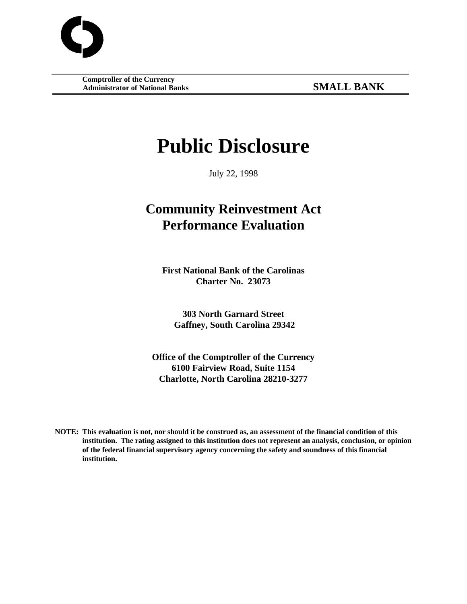**Comptroller of the Currency Administrator of National Banks SMALL BANK**

# **Public Disclosure**

July 22, 1998

## **Community Reinvestment Act Performance Evaluation**

**First National Bank of the Carolinas Charter No. 23073**

**303 North Garnard Street Gaffney, South Carolina 29342**

**Office of the Comptroller of the Currency 6100 Fairview Road, Suite 1154 Charlotte, North Carolina 28210-3277**

**NOTE: This evaluation is not, nor should it be construed as, an assessment of the financial condition of this institution. The rating assigned to this institution does not represent an analysis, conclusion, or opinion of the federal financial supervisory agency concerning the safety and soundness of this financial institution.**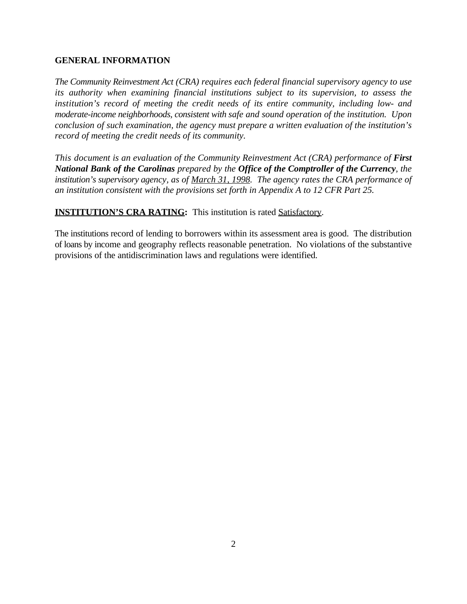#### **GENERAL INFORMATION**

*The Community Reinvestment Act (CRA) requires each federal financial supervisory agency to use its authority when examining financial institutions subject to its supervision, to assess the institution's record of meeting the credit needs of its entire community, including low- and moderate-income neighborhoods, consistent with safe and sound operation of the institution. Upon conclusion of such examination, the agency must prepare a written evaluation of the institution's record of meeting the credit needs of its community.*

*This document is an evaluation of the Community Reinvestment Act (CRA) performance of First National Bank of the Carolinas prepared by the Office of the Comptroller of the Currency, the institution's supervisory agency, as of March 31, 1998. The agency rates the CRA performance of an institution consistent with the provisions set forth in Appendix A to 12 CFR Part 25.*

**INSTITUTION'S CRA RATING:** This institution is rated **Satisfactory**.

The institutions record of lending to borrowers within its assessment area is good. The distribution of loans by income and geography reflects reasonable penetration. No violations of the substantive provisions of the antidiscrimination laws and regulations were identified.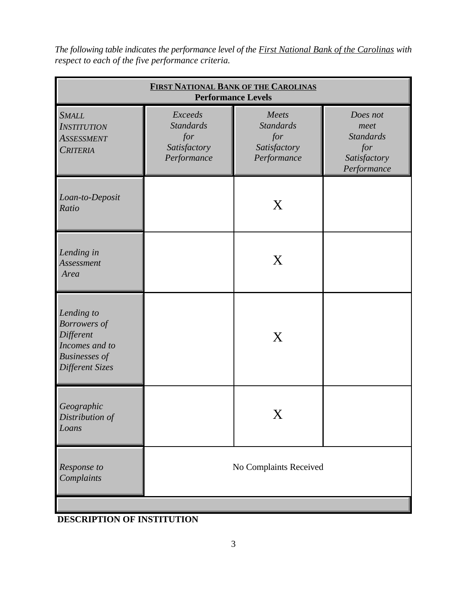| <b>FIRST NATIONAL BANK OF THE CAROLINAS</b><br><b>Performance Levels</b>                                    |                                                                   |                                                                 |                                                                            |  |
|-------------------------------------------------------------------------------------------------------------|-------------------------------------------------------------------|-----------------------------------------------------------------|----------------------------------------------------------------------------|--|
| <b>SMALL</b><br><b>INSTITUTION</b><br><b>ASSESSMENT</b><br><b>CRITERIA</b>                                  | Exceeds<br><b>Standards</b><br>for<br>Satisfactory<br>Performance | Meets<br><b>Standards</b><br>for<br>Satisfactory<br>Performance | Does not<br>meet<br><b>Standards</b><br>for<br>Satisfactory<br>Performance |  |
| Loan-to-Deposit<br>Ratio                                                                                    |                                                                   | X                                                               |                                                                            |  |
| Lending in<br>Assessment<br>Area                                                                            |                                                                   | X                                                               |                                                                            |  |
| Lending to<br><b>Borrowers</b> of<br>Different<br>Incomes and to<br><b>Businesses</b> of<br>Different Sizes | X                                                                 |                                                                 |                                                                            |  |
| Geographic<br>Distribution of<br>Loans                                                                      |                                                                   |                                                                 |                                                                            |  |
| Response to<br>Complaints                                                                                   | No Complaints Received                                            |                                                                 |                                                                            |  |

*The following table indicates the performance level of the First National Bank of the Carolinas with respect to each of the five performance criteria.*

### **DESCRIPTION OF INSTITUTION**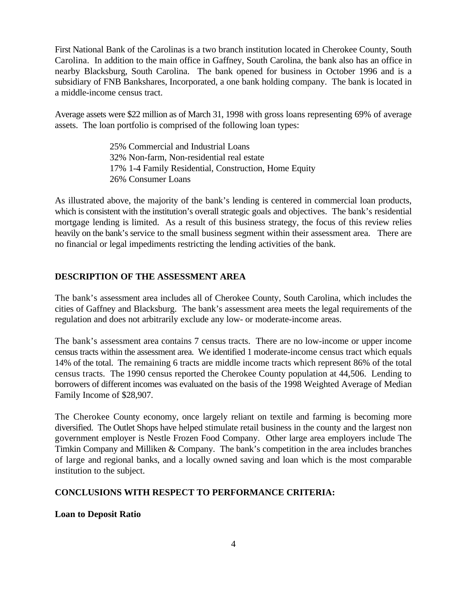First National Bank of the Carolinas is a two branch institution located in Cherokee County, South Carolina. In addition to the main office in Gaffney, South Carolina, the bank also has an office in nearby Blacksburg, South Carolina. The bank opened for business in October 1996 and is a subsidiary of FNB Bankshares, Incorporated, a one bank holding company. The bank is located in a middle-income census tract.

Average assets were \$22 million as of March 31, 1998 with gross loans representing 69% of average assets. The loan portfolio is comprised of the following loan types:

> 25% Commercial and Industrial Loans 32% Non-farm, Non-residential real estate 17% 1-4 Family Residential, Construction, Home Equity 26% Consumer Loans

As illustrated above, the majority of the bank's lending is centered in commercial loan products, which is consistent with the institution's overall strategic goals and objectives. The bank's residential mortgage lending is limited. As a result of this business strategy, the focus of this review relies heavily on the bank's service to the small business segment within their assessment area. There are no financial or legal impediments restricting the lending activities of the bank.

#### **DESCRIPTION OF THE ASSESSMENT AREA**

The bank's assessment area includes all of Cherokee County, South Carolina, which includes the cities of Gaffney and Blacksburg. The bank's assessment area meets the legal requirements of the regulation and does not arbitrarily exclude any low- or moderate-income areas.

The bank's assessment area contains 7 census tracts. There are no low-income or upper income census tracts within the assessment area. We identified 1 moderate-income census tract which equals 14% of the total. The remaining 6 tracts are middle income tracts which represent 86% of the total census tracts. The 1990 census reported the Cherokee County population at 44,506. Lending to borrowers of different incomes was evaluated on the basis of the 1998 Weighted Average of Median Family Income of \$28,907.

The Cherokee County economy, once largely reliant on textile and farming is becoming more diversified. The Outlet Shops have helped stimulate retail business in the county and the largest non government employer is Nestle Frozen Food Company. Other large area employers include The Timkin Company and Milliken & Company. The bank's competition in the area includes branches of large and regional banks, and a locally owned saving and loan which is the most comparable institution to the subject.

#### **CONCLUSIONS WITH RESPECT TO PERFORMANCE CRITERIA:**

#### **Loan to Deposit Ratio**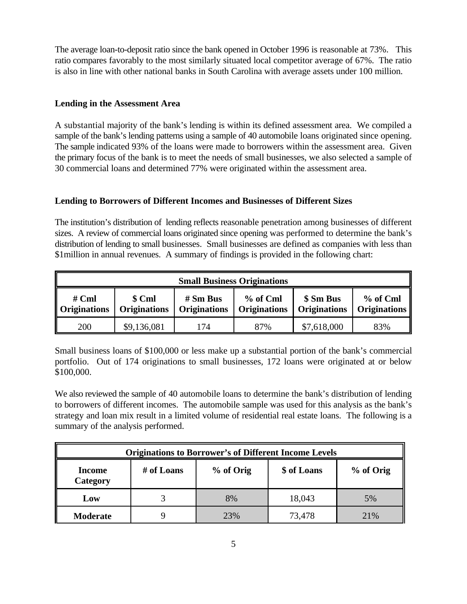The average loan-to-deposit ratio since the bank opened in October 1996 is reasonable at 73%. This ratio compares favorably to the most similarly situated local competitor average of 67%. The ratio is also in line with other national banks in South Carolina with average assets under 100 million.

#### **Lending in the Assessment Area**

A substantial majority of the bank's lending is within its defined assessment area. We compiled a sample of the bank's lending patterns using a sample of 40 automobile loans originated since opening. The sample indicated 93% of the loans were made to borrowers within the assessment area. Given the primary focus of the bank is to meet the needs of small businesses, we also selected a sample of 30 commercial loans and determined 77% were originated within the assessment area.

#### **Lending to Borrowers of Different Incomes and Businesses of Different Sizes**

The institution's distribution of lending reflects reasonable penetration among businesses of different sizes. A review of commercial loans originated since opening was performed to determine the bank's distribution of lending to small businesses. Small businesses are defined as companies with less than \$1million in annual revenues. A summary of findings is provided in the following chart:

| <b>Small Business Originations</b>                                                                                                                                                                               |             |    |     |             |     |
|------------------------------------------------------------------------------------------------------------------------------------------------------------------------------------------------------------------|-------------|----|-----|-------------|-----|
| \$ Sm Bus<br>$%$ of Cml<br>% of Cml<br>$# Sm$ Bus<br>$#$ Cml<br>\$ Cml<br><b>Originations</b><br><b>Originations</b><br><b>Originations</b><br><b>Originations</b><br><b>Originations</b><br><b>Originations</b> |             |    |     |             |     |
| 200                                                                                                                                                                                                              | \$9,136,081 | 74 | 87% | \$7,618,000 | 83% |

Small business loans of \$100,000 or less make up a substantial portion of the bank's commercial portfolio. Out of 174 originations to small businesses, 172 loans were originated at or below \$100,000.

We also reviewed the sample of 40 automobile loans to determine the bank's distribution of lending to borrowers of different incomes. The automobile sample was used for this analysis as the bank's strategy and loan mix result in a limited volume of residential real estate loans. The following is a summary of the analysis performed.

| <b>Originations to Borrower's of Different Income Levels</b> |                                                     |     |        |     |  |
|--------------------------------------------------------------|-----------------------------------------------------|-----|--------|-----|--|
| Income<br>Category                                           | \$ of Loans<br># of Loans<br>% of Orig<br>% of Orig |     |        |     |  |
| Low                                                          |                                                     | 8%  | 18,043 | 5%  |  |
| <b>Moderate</b>                                              |                                                     | 23% | 73,478 | 21% |  |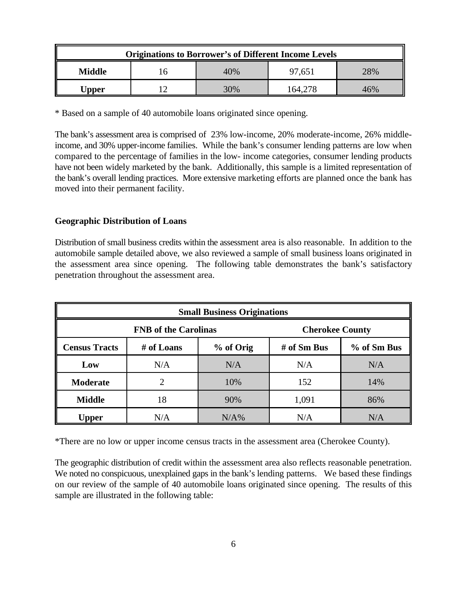| <b>Originations to Borrower's of Different Income Levels</b> |  |        |         |     |
|--------------------------------------------------------------|--|--------|---------|-----|
| Middle                                                       |  | 40%    | 97.651  | 28% |
| <b>Jpper</b>                                                 |  | $30\%$ | 164.278 | 46% |

\* Based on a sample of 40 automobile loans originated since opening.

The bank's assessment area is comprised of 23% low-income, 20% moderate-income, 26% middleincome, and 30% upper-income families. While the bank's consumer lending patterns are low when compared to the percentage of families in the low- income categories, consumer lending products have not been widely marketed by the bank. Additionally, this sample is a limited representation of the bank's overall lending practices. More extensive marketing efforts are planned once the bank has moved into their permanent facility.

#### **Geographic Distribution of Loans**

Distribution of small business credits within the assessment area is also reasonable. In addition to the automobile sample detailed above, we also reviewed a sample of small business loans originated in the assessment area since opening. The following table demonstrates the bank's satisfactory penetration throughout the assessment area.

| <b>Small Business Originations</b> |            |           |                        |             |
|------------------------------------|------------|-----------|------------------------|-------------|
| <b>FNB</b> of the Carolinas        |            |           | <b>Cherokee County</b> |             |
| <b>Census Tracts</b>               | # of Loans | % of Orig | # of $Sm$ Bus          | % of Sm Bus |
| Low                                | N/A        | N/A       | N/A                    | N/A         |
| <b>Moderate</b>                    | 2          | 10%       | 152                    | 14%         |
| <b>Middle</b>                      | 18         | 90%       | 1,091                  | 86%         |
| Upper                              | N/A        | $N/A\%$   | N/A                    | N/A         |

\*There are no low or upper income census tracts in the assessment area (Cherokee County).

The geographic distribution of credit within the assessment area also reflects reasonable penetration. We noted no conspicuous, unexplained gaps in the bank's lending patterns. We based these findings on our review of the sample of 40 automobile loans originated since opening. The results of this sample are illustrated in the following table: